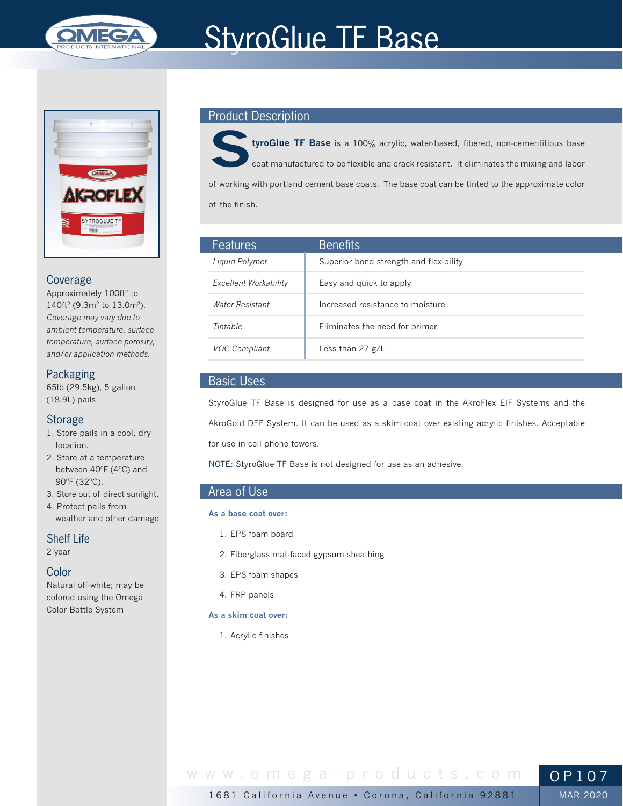

# **StyroGlue TF Base**



## Coverage

Approximately 100ft<sup>2</sup> to 140ft<sup>2</sup> (9.3m<sup>2</sup> to 13.0m<sup>2</sup>). *Coverage may vary due to ambient temperature, surface temperature, surface porosity, and/or application methods.*

## Packaging

65lb (29.5kg), 5 gallon (18.9L) pails

## Storage

- 1. Store pails in a cool, dry location.
- 2. Store at a temperature between 40ºF (4ºC) and 90ºF (32ºC).
- 3. Store out of direct sunlight.
- 4. Protect pails from weather and other damage

Shelf Life

2 year

## Color

Natural off-white; may be colored using the Omega Color Bottle System

## Product Description

**StyroGlue TF Base** is a 100% acrylic, water-based, fibered, non-cementitious base coat manufactured to be flexible and crack resistant. It eliminates the mixing and labor of working with portland cement base coats. The base coat can be tinted to the approximate color of the finish.

| <b>Features</b>              | <b>Benefits</b>                        |
|------------------------------|----------------------------------------|
| Liquid Polymer               | Superior bond strength and flexibility |
| <b>Excellent Workability</b> | Easy and quick to apply                |
| <b>Water Resistant</b>       | Increased resistance to moisture       |
| Tintable                     | Eliminates the need for primer         |
| <b>VOC Compliant</b>         | Less than 27 $g/L$                     |

# Basic Uses

StyroGlue TF Base is designed for use as a base coat in the AkroFlex EIF Systems and the AkroGold DEF System. It can be used as a skim coat over existing acrylic finishes. Acceptable for use in cell phone towers.

NOTE: StyroGlue TF Base is not designed for use as an adhesive.

# Area of Use

#### **As a base coat over:**

- 1. EPS foam board
- 2. Fiberglass mat-faced gypsum sheathing
- 3. EPS foam shapes
- 4. FRP panels

#### **As a skim coat over:**

1. Acrylic finishes

# www.omega-products.com OP107

MAR 2020

1681 California Avenue • Corona, California 92881